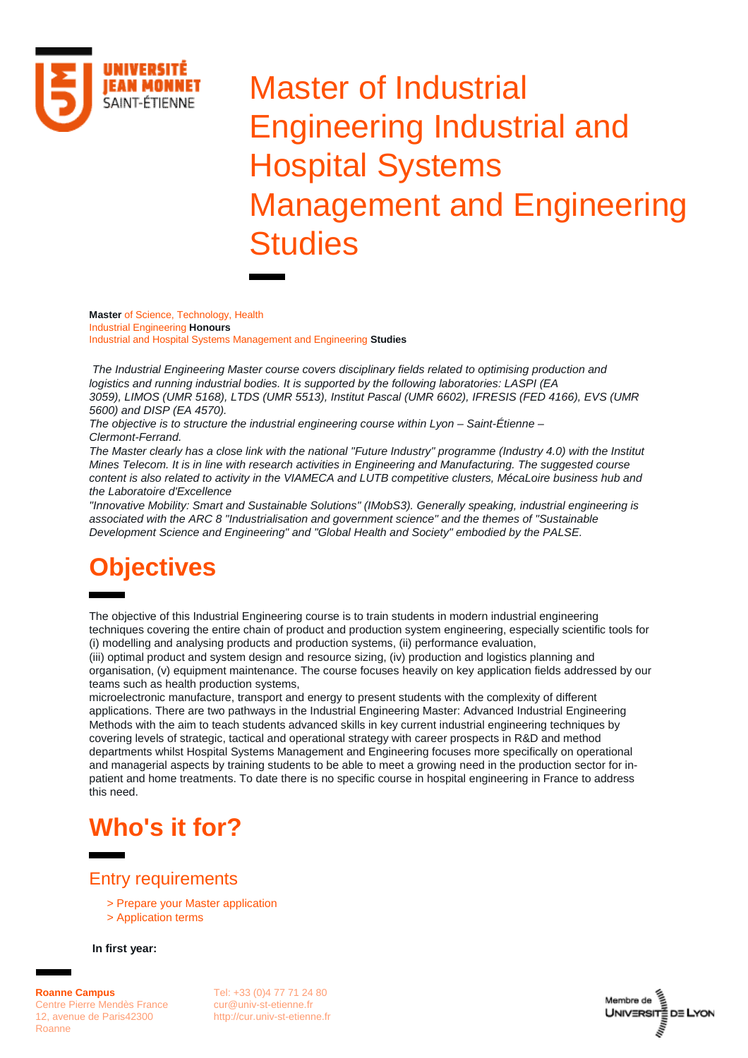

# Master of Industrial Engineering Industrial and Hospital Systems Management and Engineering **Studies**

**Master** of Science, Technology, Health Industrial Engineering **Honours** Industrial and Hospital Systems Management and Engineering **Studies**

*The Industrial Engineering Master course covers disciplinary fields related to optimising production and logistics and running industrial bodies. It is supported by the following laboratories: LASPI (EA 3059), LIMOS (UMR 5168), LTDS (UMR 5513), Institut Pascal (UMR 6602), IFRESIS (FED 4166), EVS (UMR 5600) and DISP (EA 4570).*

*The objective is to structure the industrial engineering course within Lyon – Saint-Étienne – Clermont-Ferrand.*

*The Master clearly has a close link with the national "Future Industry" programme (Industry 4.0) with the Institut Mines Telecom. It is in line with research activities in Engineering and Manufacturing. The suggested course content is also related to activity in the VIAMECA and LUTB competitive clusters, MécaLoire business hub and the Laboratoire d'Excellence*

*"Innovative Mobility: Smart and Sustainable Solutions" (IMobS3). Generally speaking, industrial engineering is associated with the ARC 8 "Industrialisation and government science" and the themes of "Sustainable Development Science and Engineering" and "Global Health and Society" embodied by the PALSE.*

## **Objectives**

The objective of this Industrial Engineering course is to train students in modern industrial engineering techniques covering the entire chain of product and production system engineering, especially scientific tools for (i) modelling and analysing products and production systems, (ii) performance evaluation,

(iii) optimal product and system design and resource sizing, (iv) production and logistics planning and organisation, (v) equipment maintenance. The course focuses heavily on key application fields addressed by our teams such as health production systems,

microelectronic manufacture, transport and energy to present students with the complexity of different applications. There are two pathways in the Industrial Engineering Master: Advanced Industrial Engineering Methods with the aim to teach students advanced skills in key current industrial engineering techniques by covering levels of strategic, tactical and operational strategy with career prospects in R&D and method departments whilst Hospital Systems Management and Engineering focuses more specifically on operational and managerial aspects by training students to be able to meet a growing need in the production sector for inpatient and home treatments. To date there is no specific course in hospital engineering in France to address this need.

### **Who's it for?**

### Entry requirements

- > [Prepare your Master application](https://www.univ-st-etienne.fr/fr/formation/inscriptions-admissions/preparer-sa-candidature-en-master.html)
- > [Application terms](https://www.univ-st-etienne.fr/fr/campus-de-roanne/candidater.html)

**In first year:**

**Roanne Campus** Centre Pierre Mendès France 12, avenue de Paris42300 Roanne

Tel: +33 (0)4 77 71 24 80 [cur@univ-st-etienne.fr](mailto:cur@univ-st-etienne.fr) [http://cur.univ-st-etienne.fr](http://cur.univ-st-etienne.fr/)

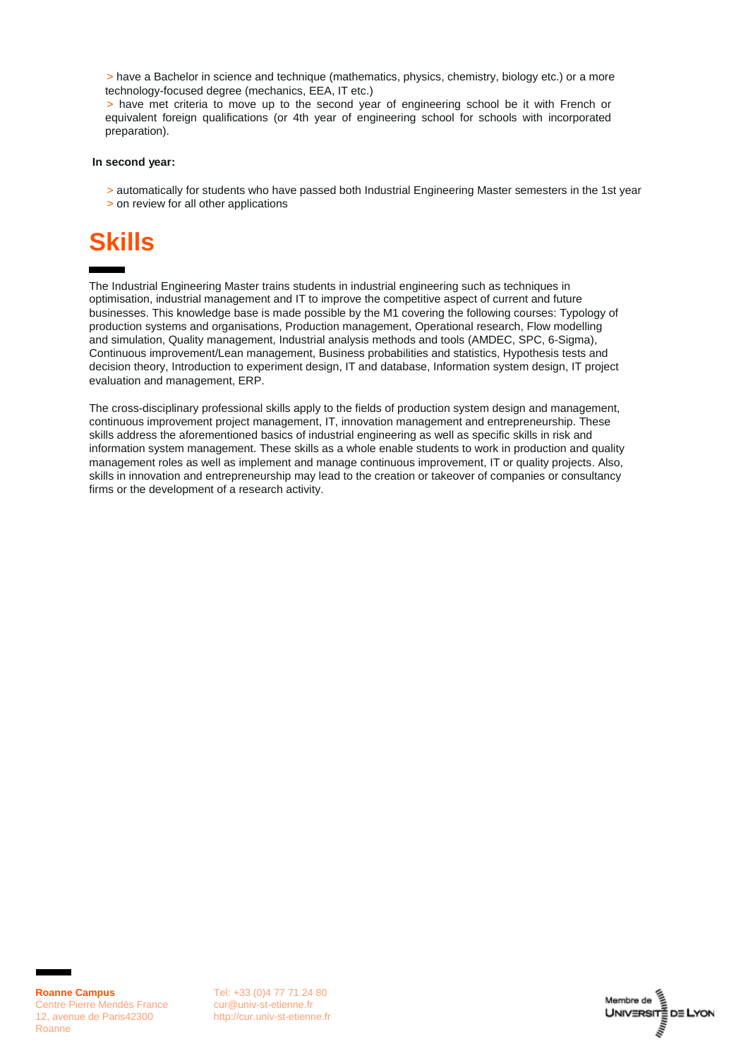> have a Bachelor in science and technique (mathematics, physics, chemistry, biology etc.) or a more technology-focused degree (mechanics, EEA, IT etc.)

> have met criteria to move up to the second year of engineering school be it with French or equivalent foreign qualifications (or 4th year of engineering school for schools with incorporated preparation).

#### **In second year:**

- > automatically for students who have passed both Industrial Engineering Master semesters in the 1st year
- > on review for all other applications

### **Skills**

The Industrial Engineering Master trains students in industrial engineering such as techniques in optimisation, industrial management and IT to improve the competitive aspect of current and future businesses. This knowledge base is made possible by the M1 covering the following courses: Typology of production systems and organisations, Production management, Operational research, Flow modelling and simulation, Quality management, Industrial analysis methods and tools (AMDEC, SPC, 6-Sigma), Continuous improvement/Lean management, Business probabilities and statistics, Hypothesis tests and decision theory, Introduction to experiment design, IT and database, Information system design, IT project evaluation and management, ERP.

The cross-disciplinary professional skills apply to the fields of production system design and management, continuous improvement project management, IT, innovation management and entrepreneurship. These skills address the aforementioned basics of industrial engineering as well as specific skills in risk and information system management. These skills as a whole enable students to work in production and quality management roles as well as implement and manage continuous improvement, IT or quality projects. Also, skills in innovation and entrepreneurship may lead to the creation or takeover of companies or consultancy firms or the development of a research activity.

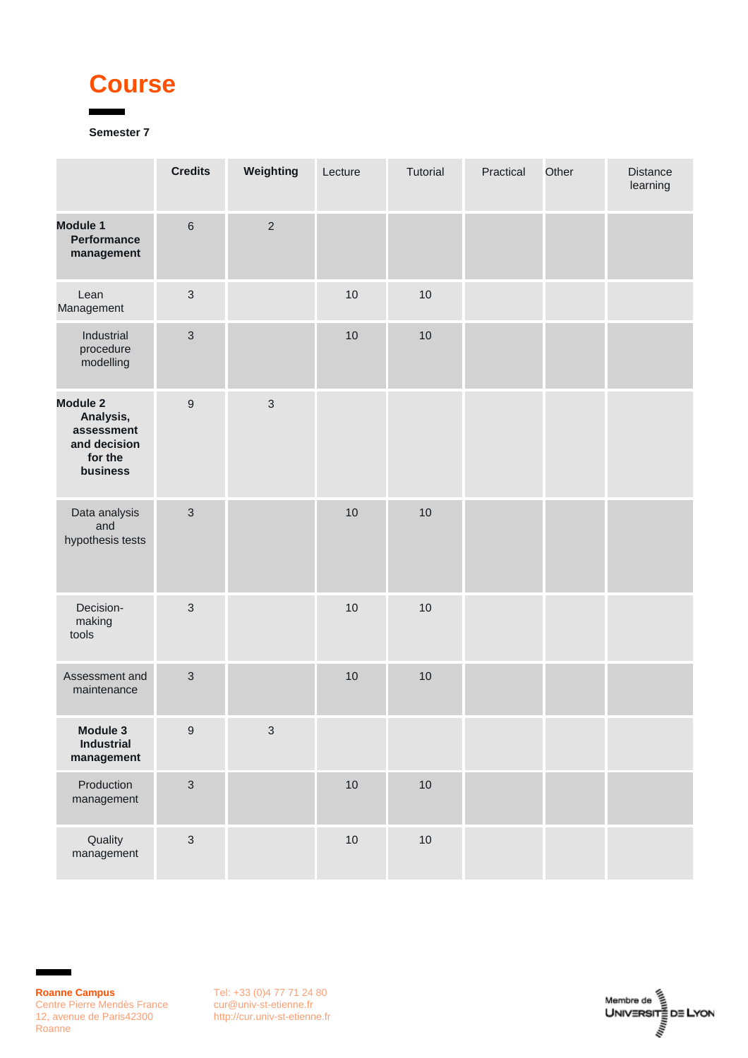### **Course**

### **Semester 7**

|                                                                                   | <b>Credits</b>   | Weighting      | Lecture | Tutorial | Practical | Other | <b>Distance</b><br>learning |
|-----------------------------------------------------------------------------------|------------------|----------------|---------|----------|-----------|-------|-----------------------------|
| <b>Module 1</b><br><b>Performance</b><br>management                               | $\,6\,$          | $\overline{2}$ |         |          |           |       |                             |
| Lean<br>Management                                                                | $\mathfrak{S}$   |                | 10      | 10       |           |       |                             |
| Industrial<br>procedure<br>modelling                                              | $\mathfrak{S}$   |                | 10      | $10$     |           |       |                             |
| <b>Module 2</b><br>Analysis,<br>assessment<br>and decision<br>for the<br>business | $\boldsymbol{9}$ | $\mathfrak{3}$ |         |          |           |       |                             |
| Data analysis<br>and<br>hypothesis tests                                          | $\mathfrak{S}$   |                | 10      | 10       |           |       |                             |
| Decision-<br>making<br>tools                                                      | $\mathfrak{S}$   |                | 10      | $10$     |           |       |                             |
| Assessment and<br>maintenance                                                     | $\mathfrak{S}$   |                | 10      | 10       |           |       |                             |
| Module 3<br>Industrial<br>management                                              | $\boldsymbol{9}$ | $\sqrt{3}$     |         |          |           |       |                             |
| Production<br>management                                                          | $\mathfrak{S}$   |                | 10      | $10$     |           |       |                             |
| Quality<br>management                                                             | $\mathfrak{S}$   |                | 10      | $10$     |           |       |                             |

Ē.

r

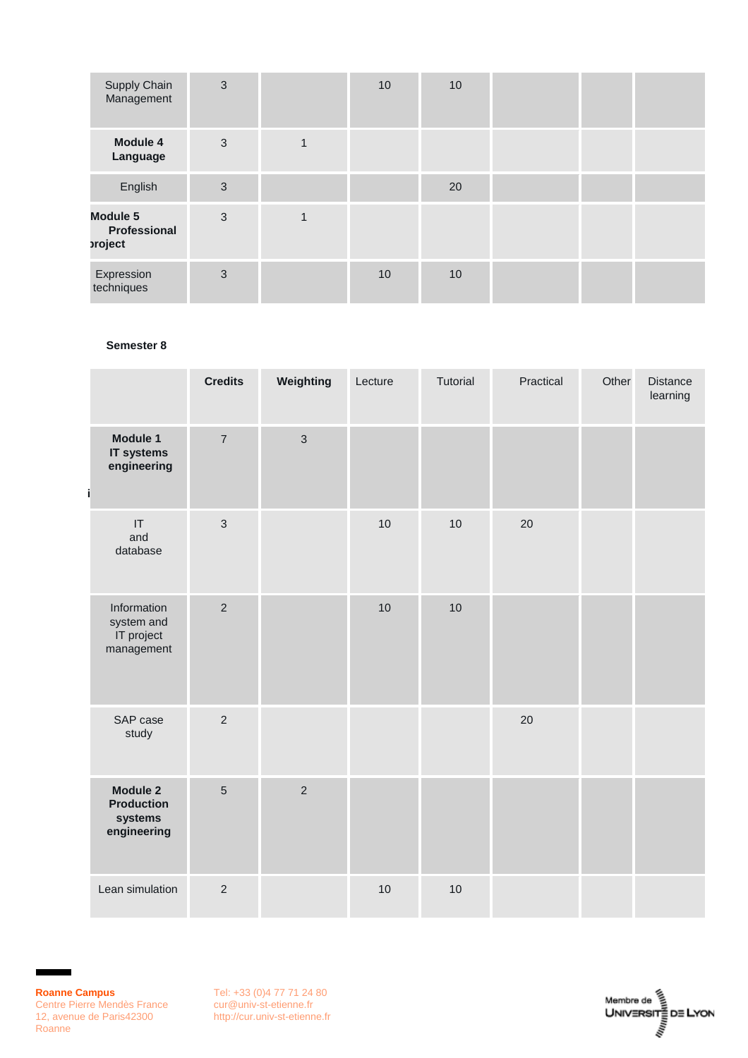| <b>Supply Chain</b><br>Management          | 3 | 10 | 10 |  |  |
|--------------------------------------------|---|----|----|--|--|
| <b>Module 4</b><br>Language                | 3 |    |    |  |  |
| English                                    | 3 |    | 20 |  |  |
| <b>Module 5</b><br>Professional<br>project | 3 |    |    |  |  |
| Expression<br>techniques                   | 3 | 10 | 10 |  |  |

#### **Semester 8**

|                                                                | <b>Credits</b> | Weighting      | Lecture | Tutorial | Practical | Other | <b>Distance</b><br>learning |
|----------------------------------------------------------------|----------------|----------------|---------|----------|-----------|-------|-----------------------------|
| Module 1<br>IT systems<br>engineering<br>i                     | $\overline{7}$ | $\mathbf{3}$   |         |          |           |       |                             |
| IT<br>and<br>database                                          | $\mathbf{3}$   |                | 10      | 10       | 20        |       |                             |
| Information<br>system and<br>IT project<br>management          | $\overline{2}$ |                | 10      | 10       |           |       |                             |
| SAP case<br>study                                              | $\overline{2}$ |                |         |          | 20        |       |                             |
| <b>Module 2</b><br><b>Production</b><br>systems<br>engineering | $\overline{5}$ | $\overline{2}$ |         |          |           |       |                             |
| Lean simulation                                                | $\overline{2}$ |                | 10      | 10       |           |       |                             |

Ŧ.

п

Tel: +33 (0)4 77 71 24 80 [cur@univ-st-etienne.fr](mailto:cur@univ-st-etienne.fr) [http://cur.univ-st-etienne.fr](http://cur.univ-st-etienne.fr/)

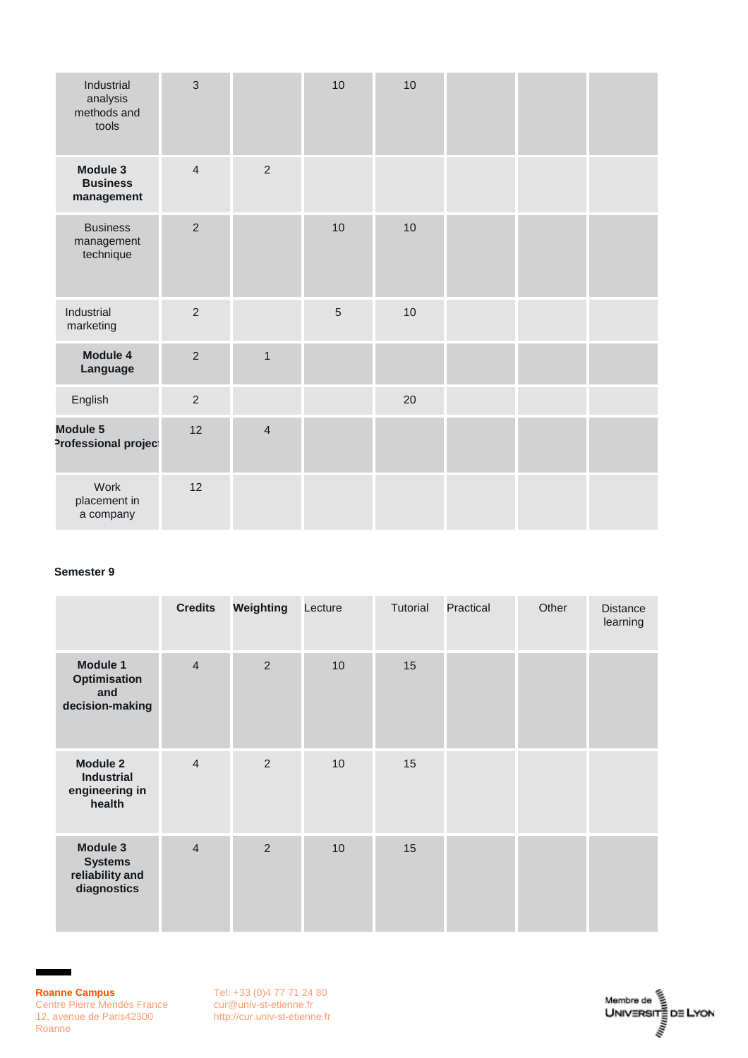| Industrial<br>analysis<br>methods and<br>tools | 3              |                | 10             | 10 |  |  |
|------------------------------------------------|----------------|----------------|----------------|----|--|--|
| Module 3<br><b>Business</b><br>management      | $\overline{4}$ | $\overline{2}$ |                |    |  |  |
| <b>Business</b><br>management<br>technique     | $\overline{2}$ |                | 10             | 10 |  |  |
| Industrial<br>marketing                        | $\overline{2}$ |                | $\overline{5}$ | 10 |  |  |
| Module 4<br>Language                           | $\overline{2}$ | $\mathbf{1}$   |                |    |  |  |
| English                                        | $\overline{2}$ |                |                | 20 |  |  |
| Module 5<br>Professional project               | 12             | $\overline{4}$ |                |    |  |  |
| Work<br>placement in<br>a company              | 12             |                |                |    |  |  |

#### **Semester 9**

|                                                                  | <b>Credits</b> | Weighting      | Lecture | Tutorial | Practical | Other | <b>Distance</b><br>learning |
|------------------------------------------------------------------|----------------|----------------|---------|----------|-----------|-------|-----------------------------|
| Module 1<br>Optimisation<br>and<br>decision-making               | $\overline{4}$ | $\overline{2}$ | 10      | 15       |           |       |                             |
| <b>Module 2</b><br><b>Industrial</b><br>engineering in<br>health | $\overline{4}$ | $\overline{2}$ | 10      | 15       |           |       |                             |
| Module 3<br><b>Systems</b><br>reliability and<br>diagnostics     | $\overline{4}$ | $\overline{2}$ | 10      | 15       |           |       |                             |

 $\blacksquare$ 

п

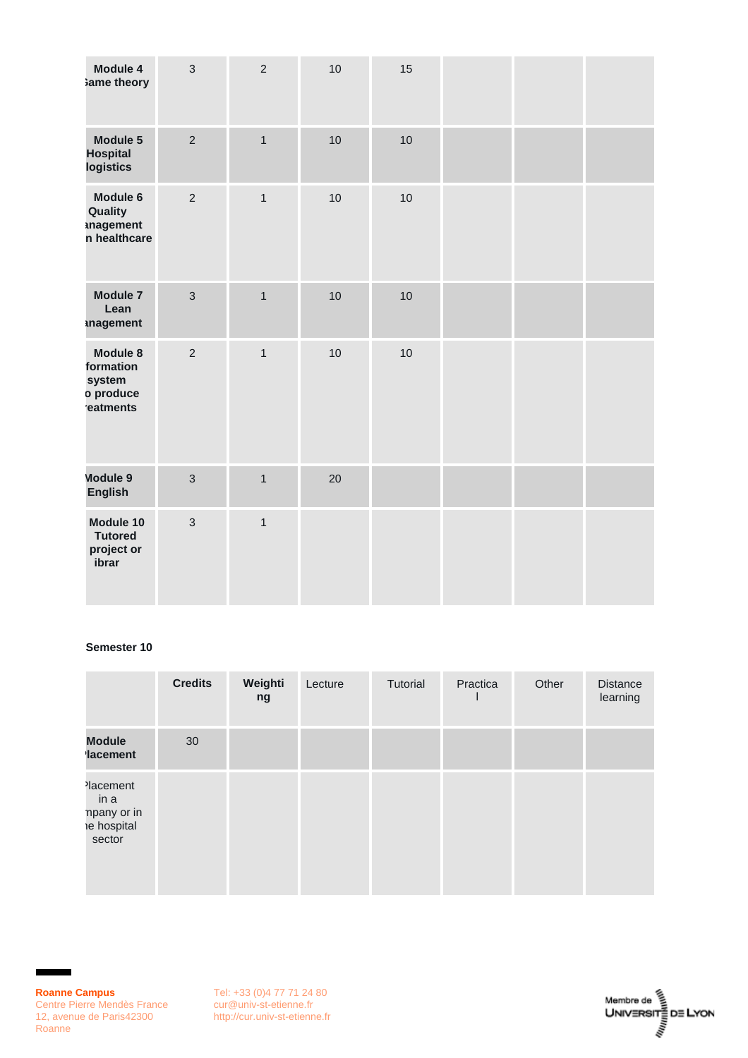| Module 4<br>ame theory                                   | $\mathbf{3}$   | $\overline{2}$ | 10 | 15 |  |  |
|----------------------------------------------------------|----------------|----------------|----|----|--|--|
| Module 5<br><b>Hospital</b><br>logistics                 | $\overline{2}$ | $\overline{1}$ | 10 | 10 |  |  |
| Module 6<br>Quality<br>inagement<br>n healthcare         | $\overline{2}$ | $\mathbf{1}$   | 10 | 10 |  |  |
| Module 7<br>Lean<br><b>inagement</b>                     | $\overline{3}$ | $\mathbf{1}$   | 10 | 10 |  |  |
| Module 8<br>formation<br>system<br>o produce<br>eatments | $\overline{2}$ | $\mathbf{1}$   | 10 | 10 |  |  |
| Module 9<br><b>English</b>                               | $\overline{3}$ | $\mathbf{1}$   | 20 |    |  |  |
| Module 10<br><b>Tutored</b><br>project or<br>ibrar       | $\mathbf{3}$   | $\mathbf{1}$   |    |    |  |  |

#### **Semester 10**

|                                                                      | <b>Credits</b> | Weighti<br>ng | Lecture | Tutorial | Practica | Other | <b>Distance</b><br>learning |
|----------------------------------------------------------------------|----------------|---------------|---------|----------|----------|-------|-----------------------------|
| <b>Module</b><br><b>lacement</b>                                     | 30             |               |         |          |          |       |                             |
| lacement <sup>1</sup><br>in a<br>npany or in<br>e hospital<br>sector |                |               |         |          |          |       |                             |

Ŧ.